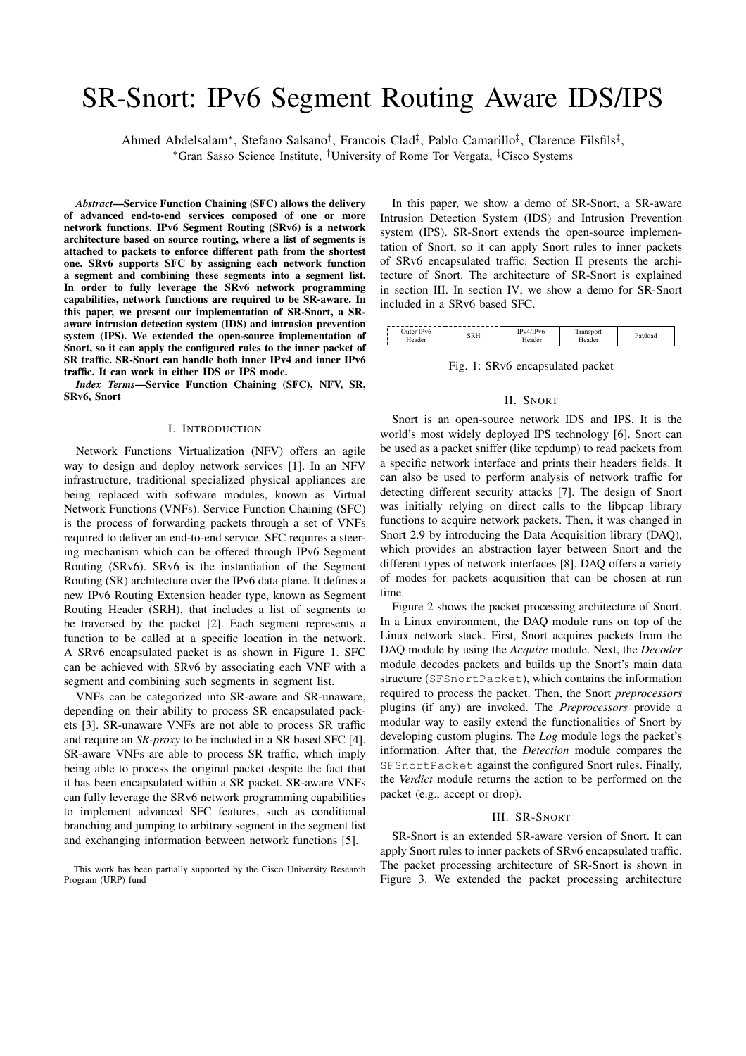# SR-Snort: IPv6 Segment Routing Aware IDS/IPS

Ahmed Abdelsalam⇤, Stefano Salsano*†*, Francois Clad*‡*, Pablo Camarillo*‡*, Clarence Filsfils*‡*,

⇤Gran Sasso Science Institute, *†*University of Rome Tor Vergata, *‡*Cisco Systems

*Abstract*—Service Function Chaining (SFC) allows the delivery of advanced end-to-end services composed of one or more network functions. IPv6 Segment Routing (SRv6) is a network architecture based on source routing, where a list of segments is attached to packets to enforce different path from the shortest one. SRv6 supports SFC by assigning each network function a segment and combining these segments into a segment list. In order to fully leverage the SRv6 network programming capabilities, network functions are required to be SR-aware. In this paper, we present our implementation of SR-Snort, a SRaware intrusion detection system (IDS) and intrusion prevention system (IPS). We extended the open-source implementation of Snort, so it can apply the configured rules to the inner packet of SR traffic. SR-Snort can handle both inner IPv4 and inner IPv6 traffic. It can work in either IDS or IPS mode.

*Index Terms*—Service Function Chaining (SFC), NFV, SR, SRv6, Snort

### I. INTRODUCTION

Network Functions Virtualization (NFV) offers an agile way to design and deploy network services [1]. In an NFV infrastructure, traditional specialized physical appliances are being replaced with software modules, known as Virtual Network Functions (VNFs). Service Function Chaining (SFC) is the process of forwarding packets through a set of VNFs required to deliver an end-to-end service. SFC requires a steering mechanism which can be offered through IPv6 Segment Routing (SRv6). SRv6 is the instantiation of the Segment Routing (SR) architecture over the IPv6 data plane. It defines a new IPv6 Routing Extension header type, known as Segment Routing Header (SRH), that includes a list of segments to be traversed by the packet [2]. Each segment represents a function to be called at a specific location in the network. A SRv6 encapsulated packet is as shown in Figure 1. SFC can be achieved with SRv6 by associating each VNF with a segment and combining such segments in segment list.

VNFs can be categorized into SR-aware and SR-unaware, depending on their ability to process SR encapsulated packets [3]. SR-unaware VNFs are not able to process SR traffic and require an *SR-proxy* to be included in a SR based SFC [4]. SR-aware VNFs are able to process SR traffic, which imply being able to process the original packet despite the fact that it has been encapsulated within a SR packet. SR-aware VNFs can fully leverage the SRv6 network programming capabilities to implement advanced SFC features, such as conditional branching and jumping to arbitrary segment in the segment list and exchanging information between network functions [5].

In this paper, we show a demo of SR-Snort, a SR-aware Intrusion Detection System (IDS) and Intrusion Prevention system (IPS). SR-Snort extends the open-source implementation of Snort, so it can apply Snort rules to inner packets of SRv6 encapsulated traffic. Section II presents the architecture of Snort. The architecture of SR-Snort is explained in section III. In section IV, we show a demo for SR-Snort included in a SRv6 based SFC.

| IDv6<br>a luter."<br>seader | SRH | Pv6<br>r Pyza<br>.eader | <sub>teader</sub> | 'load |
|-----------------------------|-----|-------------------------|-------------------|-------|
|                             |     |                         |                   |       |

Fig. 1: SRv6 encapsulated packet

#### II. SNORT

Snort is an open-source network IDS and IPS. It is the world's most widely deployed IPS technology [6]. Snort can be used as a packet sniffer (like tcpdump) to read packets from a specific network interface and prints their headers fields. It can also be used to perform analysis of network traffic for detecting different security attacks [7]. The design of Snort was initially relying on direct calls to the libpcap library functions to acquire network packets. Then, it was changed in Snort 2.9 by introducing the Data Acquisition library (DAQ), which provides an abstraction layer between Snort and the different types of network interfaces [8]. DAQ offers a variety of modes for packets acquisition that can be chosen at run time.

Figure 2 shows the packet processing architecture of Snort. In a Linux environment, the DAQ module runs on top of the Linux network stack. First, Snort acquires packets from the DAQ module by using the *Acquire* module. Next, the *Decoder* module decodes packets and builds up the Snort's main data structure (SFSnortPacket), which contains the information required to process the packet. Then, the Snort *preprocessors* plugins (if any) are invoked. The *Preprocessors* provide a modular way to easily extend the functionalities of Snort by developing custom plugins. The *Log* module logs the packet's information. After that, the *Detection* module compares the SFSnortPacket against the configured Snort rules. Finally, the *Verdict* module returns the action to be performed on the packet (e.g., accept or drop).

# III. SR-SNORT

SR-Snort is an extended SR-aware version of Snort. It can apply Snort rules to inner packets of SRv6 encapsulated traffic. The packet processing architecture of SR-Snort is shown in Figure 3. We extended the packet processing architecture

This work has been partially supported by the Cisco University Research Program (URP) fund